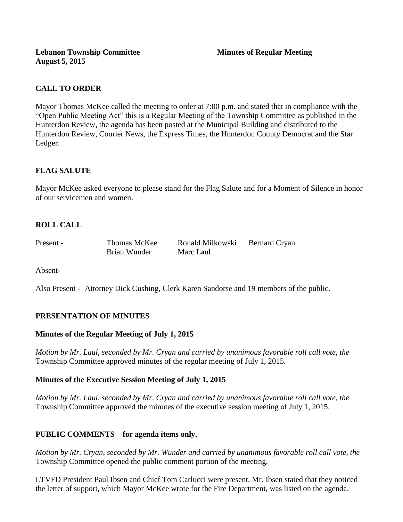# **CALL TO ORDER**

Mayor Thomas McKee called the meeting to order at 7:00 p.m. and stated that in compliance with the "Open Public Meeting Act" this is a Regular Meeting of the Township Committee as published in the Hunterdon Review, the agenda has been posted at the Municipal Building and distributed to the Hunterdon Review, Courier News, the Express Times, the Hunterdon County Democrat and the Star Ledger.

# **FLAG SALUTE**

Mayor McKee asked everyone to please stand for the Flag Salute and for a Moment of Silence in honor of our servicemen and women.

# **ROLL CALL**

| Present - | Thomas McKee | Ronald Milkowski | Bernard Cryan |
|-----------|--------------|------------------|---------------|
|           | Brian Wunder | Marc Laul        |               |

Absent-

Also Present - Attorney Dick Cushing, Clerk Karen Sandorse and 19 members of the public.

## **PRESENTATION OF MINUTES**

#### **Minutes of the Regular Meeting of July 1, 2015**

*Motion by Mr. Laul, seconded by Mr. Cryan and carried by unanimous favorable roll call vote, the*  Township Committee approved minutes of the regular meeting of July 1, 2015.

## **Minutes of the Executive Session Meeting of July 1, 2015**

*Motion by Mr. Laul, seconded by Mr. Cryan and carried by unanimous favorable roll call vote, the*  Township Committee approved the minutes of the executive session meeting of July 1, 2015.

## **PUBLIC COMMENTS – for agenda items only.**

*Motion by Mr. Cryan, seconded by Mr. Wunder and carried by unanimous favorable roll call vote, the* Township Committee opened the public comment portion of the meeting.

LTVFD President Paul Ibsen and Chief Tom Carlucci were present. Mr. Ibsen stated that they noticed the letter of support, which Mayor McKee wrote for the Fire Department, was listed on the agenda.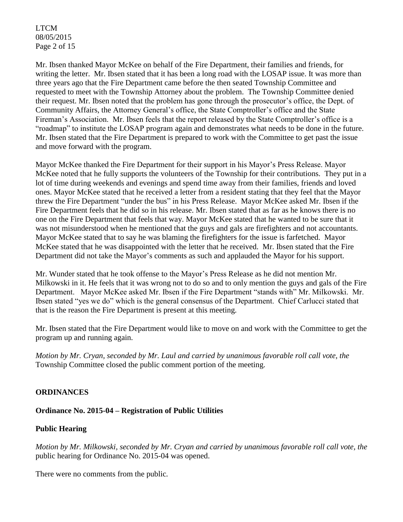LTCM 08/05/2015 Page 2 of 15

Mr. Ibsen thanked Mayor McKee on behalf of the Fire Department, their families and friends, for writing the letter. Mr. Ibsen stated that it has been a long road with the LOSAP issue. It was more than three years ago that the Fire Department came before the then seated Township Committee and requested to meet with the Township Attorney about the problem. The Township Committee denied their request. Mr. Ibsen noted that the problem has gone through the prosecutor's office, the Dept. of Community Affairs, the Attorney General's office, the State Comptroller's office and the State Fireman's Association. Mr. Ibsen feels that the report released by the State Comptroller's office is a "roadmap" to institute the LOSAP program again and demonstrates what needs to be done in the future. Mr. Ibsen stated that the Fire Department is prepared to work with the Committee to get past the issue and move forward with the program.

Mayor McKee thanked the Fire Department for their support in his Mayor's Press Release. Mayor McKee noted that he fully supports the volunteers of the Township for their contributions. They put in a lot of time during weekends and evenings and spend time away from their families, friends and loved ones. Mayor McKee stated that he received a letter from a resident stating that they feel that the Mayor threw the Fire Department "under the bus" in his Press Release. Mayor McKee asked Mr. Ibsen if the Fire Department feels that he did so in his release. Mr. Ibsen stated that as far as he knows there is no one on the Fire Department that feels that way. Mayor McKee stated that he wanted to be sure that it was not misunderstood when he mentioned that the guys and gals are firefighters and not accountants. Mayor McKee stated that to say he was blaming the firefighters for the issue is farfetched. Mayor McKee stated that he was disappointed with the letter that he received. Mr. Ibsen stated that the Fire Department did not take the Mayor's comments as such and applauded the Mayor for his support.

Mr. Wunder stated that he took offense to the Mayor's Press Release as he did not mention Mr. Milkowski in it. He feels that it was wrong not to do so and to only mention the guys and gals of the Fire Department. Mayor McKee asked Mr. Ibsen if the Fire Department "stands with" Mr. Milkowski. Mr. Ibsen stated "yes we do" which is the general consensus of the Department. Chief Carlucci stated that that is the reason the Fire Department is present at this meeting.

Mr. Ibsen stated that the Fire Department would like to move on and work with the Committee to get the program up and running again.

*Motion by Mr. Cryan, seconded by Mr. Laul and carried by unanimous favorable roll call vote, the* Township Committee closed the public comment portion of the meeting.

## **ORDINANCES**

#### **Ordinance No. 2015-04 – Registration of Public Utilities**

#### **Public Hearing**

*Motion by Mr. Milkowski, seconded by Mr. Cryan and carried by unanimous favorable roll call vote, the* public hearing for Ordinance No. 2015-04 was opened.

There were no comments from the public*.*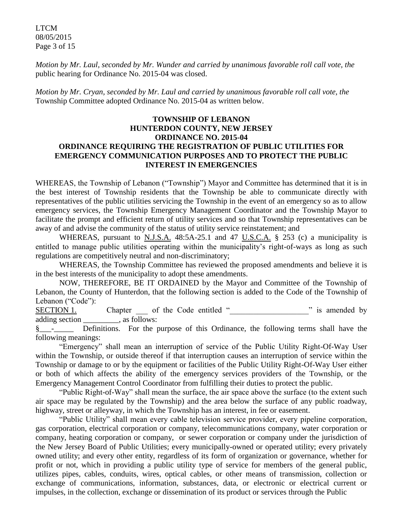LTCM 08/05/2015 Page 3 of 15

*Motion by Mr. Laul, seconded by Mr. Wunder and carried by unanimous favorable roll call vote, the* public hearing for Ordinance No. 2015-04 was closed.

*Motion by Mr. Cryan, seconded by Mr. Laul and carried by unanimous favorable roll call vote, the* Township Committee adopted Ordinance No. 2015-04 as written below.

### **TOWNSHIP OF LEBANON HUNTERDON COUNTY, NEW JERSEY ORDINANCE NO. 2015-04 ORDINANCE REQUIRING THE REGISTRATION OF PUBLIC UTILITIES FOR EMERGENCY COMMUNICATION PURPOSES AND TO PROTECT THE PUBLIC INTEREST IN EMERGENCIES**

WHEREAS, the Township of Lebanon ("Township") Mayor and Committee has determined that it is in the best interest of Township residents that the Township be able to communicate directly with representatives of the public utilities servicing the Township in the event of an emergency so as to allow emergency services, the Township Emergency Management Coordinator and the Township Mayor to facilitate the prompt and efficient return of utility services and so that Township representatives can be away of and advise the community of the status of utility service reinstatement; and

WHEREAS, pursuant to N.J.S.A. 48:5A-25.1 and 47 U.S.C.A. § 253 (c) a municipality is entitled to manage public utilities operating within the municipality's right-of-ways as long as such regulations are competitively neutral and non-discriminatory;

WHEREAS, the Township Committee has reviewed the proposed amendments and believe it is in the best interests of the municipality to adopt these amendments.

NOW, THEREFORE, BE IT ORDAINED by the Mayor and Committee of the Township of Lebanon, the County of Hunterdon, that the following section is added to the Code of the Township of Lebanon ("Code"):

 $SECTION 1.$  Chapter of the Code entitled " $\qquad$ " is amended by adding section . as follows:

§<sub>1</sub><sup>2</sup> - Definitions. For the purpose of this Ordinance, the following terms shall have the following meanings:

"Emergency" shall mean an interruption of service of the Public Utility Right-Of-Way User within the Township, or outside thereof if that interruption causes an interruption of service within the Township or damage to or by the equipment or facilities of the Public Utility Right-Of-Way User either or both of which affects the ability of the emergency services providers of the Township, or the Emergency Management Control Coordinator from fulfilling their duties to protect the public.

"Public Right-of-Way" shall mean the surface, the air space above the surface (to the extent such air space may be regulated by the Township) and the area below the surface of any public roadway, highway, street or alleyway, in which the Township has an interest, in fee or easement.

"Public Utility" shall mean every cable television service provider, every pipeline corporation, gas corporation, electrical corporation or company, telecommunications company, water corporation or company, heating corporation or company, or sewer corporation or company under the jurisdiction of the New Jersey Board of Public Utilities; every municipally-owned or operated utility; every privately owned utility; and every other entity, regardless of its form of organization or governance, whether for profit or not, which in providing a public utility type of service for members of the general public, utilizes pipes, cables, conduits, wires, optical cables, or other means of transmission, collection or exchange of communications, information, substances, data, or electronic or electrical current or impulses, in the collection, exchange or dissemination of its product or services through the Public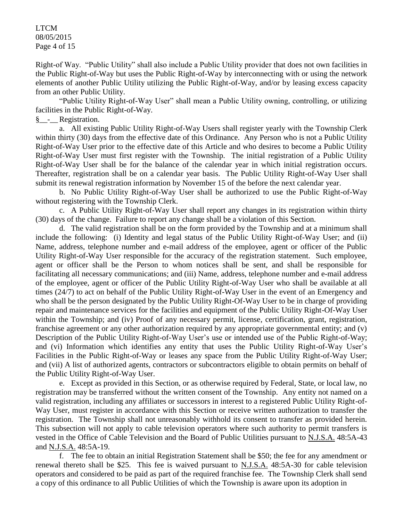LTCM 08/05/2015 Page 4 of 15

Right-of Way. "Public Utility" shall also include a Public Utility provider that does not own facilities in the Public Right-of-Way but uses the Public Right-of-Way by interconnecting with or using the network elements of another Public Utility utilizing the Public Right-of-Way, and/or by leasing excess capacity from an other Public Utility.

"Public Utility Right-of-Way User" shall mean a Public Utility owning, controlling, or utilizing facilities in the Public Right-of-Way.

§\_\_-\_\_ Registration.

a. All existing Public Utility Right-of-Way Users shall register yearly with the Township Clerk within thirty (30) days from the effective date of this Ordinance. Any Person who is not a Public Utility Right-of-Way User prior to the effective date of this Article and who desires to become a Public Utility Right-of-Way User must first register with the Township. The initial registration of a Public Utility Right-of-Way User shall be for the balance of the calendar year in which initial registration occurs. Thereafter, registration shall be on a calendar year basis. The Public Utility Right-of-Way User shall submit its renewal registration information by November 15 of the before the next calendar year.

b. No Public Utility Right-of-Way User shall be authorized to use the Public Right-of-Way without registering with the Township Clerk.

c. A Public Utility Right-of-Way User shall report any changes in its registration within thirty (30) days of the change. Failure to report any change shall be a violation of this Section.

d. The valid registration shall be on the form provided by the Township and at a minimum shall include the following: (i) Identity and legal status of the Public Utility Right-of-Way User; and (ii) Name, address, telephone number and e-mail address of the employee, agent or officer of the Public Utility Right-of-Way User responsible for the accuracy of the registration statement. Such employee, agent or officer shall be the Person to whom notices shall be sent, and shall be responsible for facilitating all necessary communications; and (iii) Name, address, telephone number and e-mail address of the employee, agent or officer of the Public Utility Right-of-Way User who shall be available at all times (24/7) to act on behalf of the Public Utility Right-of-Way User in the event of an Emergency and who shall be the person designated by the Public Utility Right-Of-Way User to be in charge of providing repair and maintenance services for the facilities and equipment of the Public Utility Right-Of-Way User within the Township; and (iv) Proof of any necessary permit, license, certification, grant, registration, franchise agreement or any other authorization required by any appropriate governmental entity; and (v) Description of the Public Utility Right-of-Way User's use or intended use of the Public Right-of-Way; and (vi) Information which identifies any entity that uses the Public Utility Right-of-Way User's Facilities in the Public Right-of-Way or leases any space from the Public Utility Right-of-Way User; and (vii) A list of authorized agents, contractors or subcontractors eligible to obtain permits on behalf of the Public Utility Right-of-Way User.

e. Except as provided in this Section, or as otherwise required by Federal, State, or local law, no registration may be transferred without the written consent of the Township. Any entity not named on a valid registration, including any affiliates or successors in interest to a registered Public Utility Right-of-Way User, must register in accordance with this Section or receive written authorization to transfer the registration. The Township shall not unreasonably withhold its consent to transfer as provided herein. This subsection will not apply to cable television operators where such authority to permit transfers is vested in the Office of Cable Television and the Board of Public Utilities pursuant to N.J.S.A. 48:5A-43 and N.J.S.A. 48:5A-19.

f. The fee to obtain an initial Registration Statement shall be \$50; the fee for any amendment or renewal thereto shall be \$25. This fee is waived pursuant to N.J.S.A. 48:5A-30 for cable television operators and considered to be paid as part of the required franchise fee. The Township Clerk shall send a copy of this ordinance to all Public Utilities of which the Township is aware upon its adoption in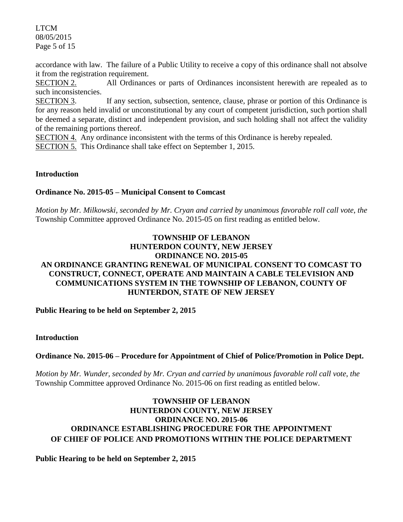LTCM 08/05/2015 Page 5 of 15

accordance with law. The failure of a Public Utility to receive a copy of this ordinance shall not absolve it from the registration requirement.

SECTION 2. All Ordinances or parts of Ordinances inconsistent herewith are repealed as to such inconsistencies.

SECTION 3. If any section, subsection, sentence, clause, phrase or portion of this Ordinance is for any reason held invalid or unconstitutional by any court of competent jurisdiction, such portion shall be deemed a separate, distinct and independent provision, and such holding shall not affect the validity of the remaining portions thereof.

SECTION 4. Any ordinance inconsistent with the terms of this Ordinance is hereby repealed.

SECTION 5. This Ordinance shall take effect on September 1, 2015.

#### **Introduction**

### **Ordinance No. 2015-05 – Municipal Consent to Comcast**

*Motion by Mr. Milkowski, seconded by Mr. Cryan and carried by unanimous favorable roll call vote*, *the*  Township Committee approved Ordinance No. 2015-05 on first reading as entitled below.

## **TOWNSHIP OF LEBANON HUNTERDON COUNTY, NEW JERSEY ORDINANCE NO. 2015-05 AN ORDINANCE GRANTING RENEWAL OF MUNICIPAL CONSENT TO COMCAST TO CONSTRUCT, CONNECT, OPERATE AND MAINTAIN A CABLE TELEVISION AND COMMUNICATIONS SYSTEM IN THE TOWNSHIP OF LEBANON, COUNTY OF HUNTERDON, STATE OF NEW JERSEY**

**Public Hearing to be held on September 2, 2015**

#### **Introduction**

## **Ordinance No. 2015-06 – Procedure for Appointment of Chief of Police/Promotion in Police Dept.**

*Motion by Mr. Wunder, seconded by Mr. Cryan and carried by unanimous favorable roll call vote*, *the*  Township Committee approved Ordinance No. 2015-06 on first reading as entitled below.

## **TOWNSHIP OF LEBANON HUNTERDON COUNTY, NEW JERSEY ORDINANCE NO. 2015-06 ORDINANCE ESTABLISHING PROCEDURE FOR THE APPOINTMENT OF CHIEF OF POLICE AND PROMOTIONS WITHIN THE POLICE DEPARTMENT**

#### **Public Hearing to be held on September 2, 2015**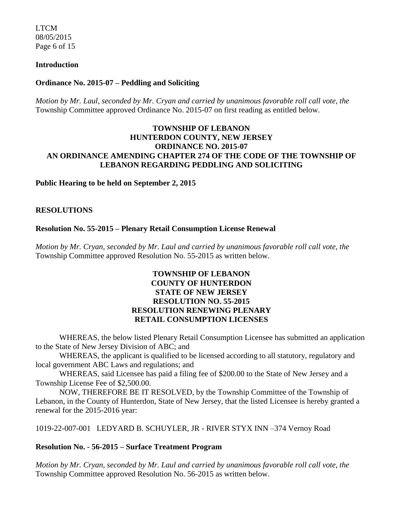LTCM 08/05/2015 Page 6 of 15

#### **Introduction**

#### **Ordinance No. 2015-07 – Peddling and Soliciting**

*Motion by Mr. Laul, seconded by Mr. Cryan and carried by unanimous favorable roll call vote*, *the*  Township Committee approved Ordinance No. 2015-07 on first reading as entitled below.

### **TOWNSHIP OF LEBANON HUNTERDON COUNTY, NEW JERSEY ORDINANCE NO. 2015-07 AN ORDINANCE AMENDING CHAPTER 274 OF THE CODE OF THE TOWNSHIP OF LEBANON REGARDING PEDDLING AND SOLICITING**

#### **Public Hearing to be held on September 2, 2015**

#### **RESOLUTIONS**

#### **Resolution No. 55-2015 – Plenary Retail Consumption License Renewal**

*Motion by Mr. Cryan, seconded by Mr. Laul and carried by unanimous favorable roll call vote*, *the* Township Committee approved Resolution No. 55-2015 as written below.

### **TOWNSHIP OF LEBANON COUNTY OF HUNTERDON STATE OF NEW JERSEY RESOLUTION NO. 55-2015 RESOLUTION RENEWING PLENARY RETAIL CONSUMPTION LICENSES**

WHEREAS, the below listed Plenary Retail Consumption Licensee has submitted an application to the State of New Jersey Division of ABC; and

WHEREAS, the applicant is qualified to be licensed according to all statutory, regulatory and local government ABC Laws and regulations; and

WHEREAS, said Licensee has paid a filing fee of \$200.00 to the State of New Jersey and a Township License Fee of \$2,500.00.

NOW, THEREFORE BE IT RESOLVED, by the Township Committee of the Township of Lebanon, in the County of Hunterdon, State of New Jersey, that the listed Licensee is hereby granted a renewal for the 2015-2016 year:

1019-22-007-001 LEDYARD B. SCHUYLER, JR - RIVER STYX INN –374 Vernoy Road

#### **Resolution No. - 56-2015 – Surface Treatment Program**

*Motion by Mr. Cryan, seconded by Mr. Laul and carried by unanimous favorable roll call vote*, *the* Township Committee approved Resolution No. 56-2015 as written below.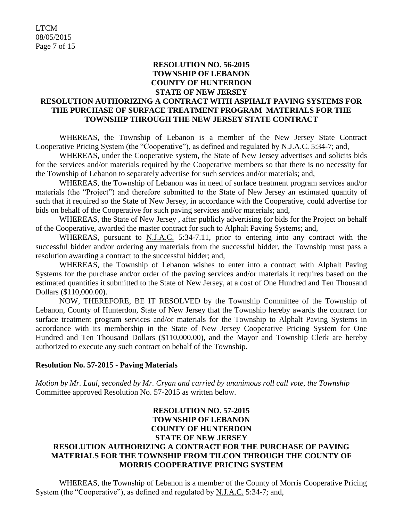#### **RESOLUTION NO. 56-2015 TOWNSHIP OF LEBANON COUNTY OF HUNTERDON STATE OF NEW JERSEY**

## **RESOLUTION AUTHORIZING A CONTRACT WITH ASPHALT PAVING SYSTEMS FOR THE PURCHASE OF SURFACE TREATMENT PROGRAM MATERIALS FOR THE TOWNSHIP THROUGH THE NEW JERSEY STATE CONTRACT**

WHEREAS, the Township of Lebanon is a member of the New Jersey State Contract Cooperative Pricing System (the "Cooperative"), as defined and regulated by N.J.A.C. 5:34-7; and,

WHEREAS, under the Cooperative system, the State of New Jersey advertises and solicits bids for the services and/or materials required by the Cooperative members so that there is no necessity for the Township of Lebanon to separately advertise for such services and/or materials; and,

WHEREAS, the Township of Lebanon was in need of surface treatment program services and/or materials (the "Project") and therefore submitted to the State of New Jersey an estimated quantity of such that it required so the State of New Jersey, in accordance with the Cooperative, could advertise for bids on behalf of the Cooperative for such paving services and/or materials; and,

WHEREAS, the State of New Jersey , after publicly advertising for bids for the Project on behalf of the Cooperative, awarded the master contract for such to Alphalt Paving Systems; and,

WHEREAS, pursuant to N.J.A.C. 5:34-7.11, prior to entering into any contract with the successful bidder and/or ordering any materials from the successful bidder, the Township must pass a resolution awarding a contract to the successful bidder; and,

WHEREAS, the Township of Lebanon wishes to enter into a contract with Alphalt Paving Systems for the purchase and/or order of the paving services and/or materials it requires based on the estimated quantities it submitted to the State of New Jersey, at a cost of One Hundred and Ten Thousand Dollars (\$110,000.00).

NOW, THEREFORE, BE IT RESOLVED by the Township Committee of the Township of Lebanon, County of Hunterdon, State of New Jersey that the Township hereby awards the contract for surface treatment program services and/or materials for the Township to Alphalt Paving Systems in accordance with its membership in the State of New Jersey Cooperative Pricing System for One Hundred and Ten Thousand Dollars (\$110,000.00), and the Mayor and Township Clerk are hereby authorized to execute any such contract on behalf of the Township.

#### **Resolution No. 57-2015 - Paving Materials**

*Motion by Mr. Laul, seconded by Mr. Cryan and carried by unanimous roll call vote*, *the Township*  Committee approved Resolution No. 57-2015 as written below.

## **RESOLUTION NO. 57-2015 TOWNSHIP OF LEBANON COUNTY OF HUNTERDON STATE OF NEW JERSEY RESOLUTION AUTHORIZING A CONTRACT FOR THE PURCHASE OF PAVING MATERIALS FOR THE TOWNSHIP FROM TILCON THROUGH THE COUNTY OF MORRIS COOPERATIVE PRICING SYSTEM**

WHEREAS, the Township of Lebanon is a member of the County of Morris Cooperative Pricing System (the "Cooperative"), as defined and regulated by N.J.A.C. 5:34-7; and,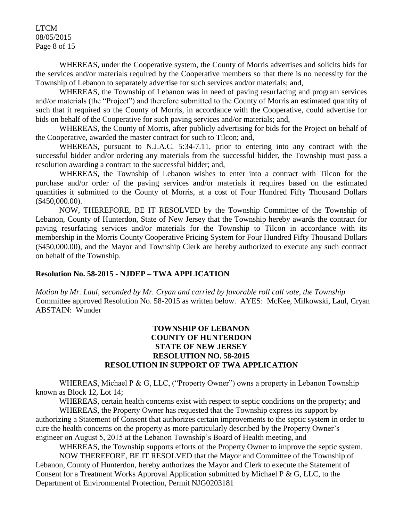LTCM 08/05/2015 Page 8 of 15

WHEREAS, under the Cooperative system, the County of Morris advertises and solicits bids for the services and/or materials required by the Cooperative members so that there is no necessity for the Township of Lebanon to separately advertise for such services and/or materials; and,

WHEREAS, the Township of Lebanon was in need of paving resurfacing and program services and/or materials (the "Project") and therefore submitted to the County of Morris an estimated quantity of such that it required so the County of Morris, in accordance with the Cooperative, could advertise for bids on behalf of the Cooperative for such paving services and/or materials; and,

WHEREAS, the County of Morris, after publicly advertising for bids for the Project on behalf of the Cooperative, awarded the master contract for such to Tilcon; and,

WHEREAS, pursuant to N.J.A.C. 5:34-7.11, prior to entering into any contract with the successful bidder and/or ordering any materials from the successful bidder, the Township must pass a resolution awarding a contract to the successful bidder; and,

WHEREAS, the Township of Lebanon wishes to enter into a contract with Tilcon for the purchase and/or order of the paving services and/or materials it requires based on the estimated quantities it submitted to the County of Morris, at a cost of Four Hundred Fifty Thousand Dollars (\$450,000.00).

NOW, THEREFORE, BE IT RESOLVED by the Township Committee of the Township of Lebanon, County of Hunterdon, State of New Jersey that the Township hereby awards the contract for paving resurfacing services and/or materials for the Township to Tilcon in accordance with its membership in the Morris County Cooperative Pricing System for Four Hundred Fifty Thousand Dollars (\$450,000.00), and the Mayor and Township Clerk are hereby authorized to execute any such contract on behalf of the Township.

#### **Resolution No. 58-2015 - NJDEP – TWA APPLICATION**

*Motion by Mr. Laul, seconded by Mr. Cryan and carried by favorable roll call vote*, *the Township* Committee approved Resolution No. 58-2015 as written below. AYES: McKee, Milkowski, Laul, Cryan ABSTAIN: Wunder

### **TOWNSHIP OF LEBANON COUNTY OF HUNTERDON STATE OF NEW JERSEY RESOLUTION NO. 58-2015 RESOLUTION IN SUPPORT OF TWA APPLICATION**

WHEREAS, Michael P & G, LLC, ("Property Owner") owns a property in Lebanon Township known as Block 12, Lot 14;

WHEREAS, certain health concerns exist with respect to septic conditions on the property; and

WHEREAS, the Property Owner has requested that the Township express its support by authorizing a Statement of Consent that authorizes certain improvements to the septic system in order to cure the health concerns on the property as more particularly described by the Property Owner's engineer on August 5, 2015 at the Lebanon Township's Board of Health meeting, and

WHEREAS, the Township supports efforts of the Property Owner to improve the septic system. NOW THEREFORE, BE IT RESOLVED that the Mayor and Committee of the Township of Lebanon, County of Hunterdon, hereby authorizes the Mayor and Clerk to execute the Statement of Consent for a Treatment Works Approval Application submitted by Michael P & G, LLC, to the Department of Environmental Protection, Permit NJG0203181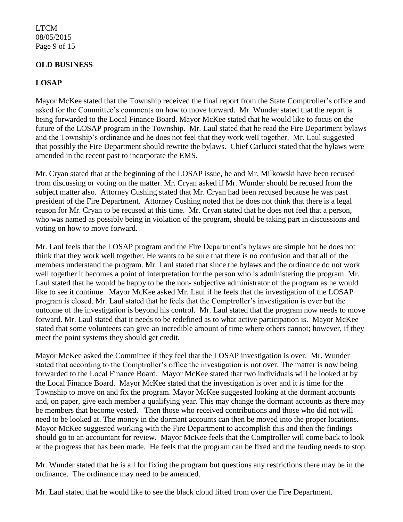### LTCM 08/05/2015 Page 9 of 15

### **OLD BUSINESS**

# **LOSAP**

Mayor McKee stated that the Township received the final report from the State Comptroller's office and asked for the Committee's comments on how to move forward. Mr. Wunder stated that the report is being forwarded to the Local Finance Board. Mayor McKee stated that he would like to focus on the future of the LOSAP program in the Township. Mr. Laul stated that he read the Fire Department bylaws and the Township's ordinance and he does not feel that they work well together. Mr. Laul suggested that possibly the Fire Department should rewrite the bylaws. Chief Carlucci stated that the bylaws were amended in the recent past to incorporate the EMS.

Mr. Cryan stated that at the beginning of the LOSAP issue, he and Mr. Milkowski have been recused from discussing or voting on the matter. Mr. Cryan asked if Mr. Wunder should be recused from the subject matter also. Attorney Cushing stated that Mr. Cryan had been recused because he was past president of the Fire Department. Attorney Cushing noted that he does not think that there is a legal reason for Mr. Cryan to be recused at this time. Mr. Cryan stated that he does not feel that a person, who was named as possibly being in violation of the program, should be taking part in discussions and voting on how to move forward.

Mr. Laul feels that the LOSAP program and the Fire Department's bylaws are simple but he does not think that they work well together. He wants to be sure that there is no confusion and that all of the members understand the program. Mr. Laul stated that since the bylaws and the ordinance do not work well together it becomes a point of interpretation for the person who is administering the program. Mr. Laul stated that he would be happy to be the non- subjective administrator of the program as he would like to see it continue. Mayor McKee asked Mr. Laul if he feels that the investigation of the LOSAP program is closed. Mr. Laul stated that he feels that the Comptroller's investigation is over but the outcome of the investigation is beyond his control. Mr. Laul stated that the program now needs to move forward. Mr. Laul stated that it needs to be redefined as to what active participation is. Mayor McKee stated that some volunteers can give an incredible amount of time where others cannot; however, if they meet the point systems they should get credit.

Mayor McKee asked the Committee if they feel that the LOSAP investigation is over. Mr. Wunder stated that according to the Comptroller's office the investigation is not over. The matter is now being forwarded to the Local Finance Board. Mayor McKee stated that two individuals will be looked at by the Local Finance Board. Mayor McKee stated that the investigation is over and it is time for the Township to move on and fix the program. Mayor McKee suggested looking at the dormant accounts and, on paper, give each member a qualifying year. This may change the dormant accounts as there may be members that become vested. Then those who received contributions and those who did not will need to be looked at. The money in the dormant accounts can then be moved into the proper locations. Mayor McKee suggested working with the Fire Department to accomplish this and then the findings should go to an accountant for review. Mayor McKee feels that the Comptroller will come back to look at the progress that has been made. He feels that the program can be fixed and the feuding needs to stop.

Mr. Wunder stated that he is all for fixing the program but questions any restrictions there may be in the ordinance. The ordinance may need to be amended.

Mr. Laul stated that he would like to see the black cloud lifted from over the Fire Department.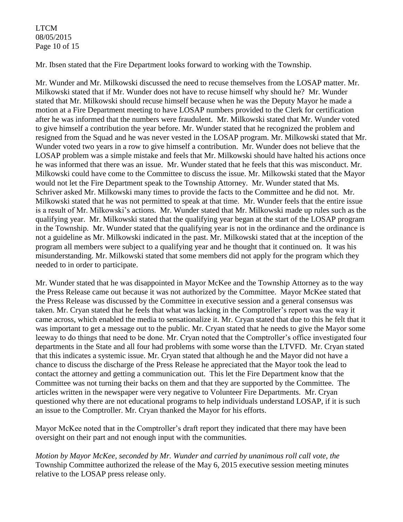### LTCM 08/05/2015 Page 10 of 15

Mr. Ibsen stated that the Fire Department looks forward to working with the Township.

Mr. Wunder and Mr. Milkowski discussed the need to recuse themselves from the LOSAP matter. Mr. Milkowski stated that if Mr. Wunder does not have to recuse himself why should he? Mr. Wunder stated that Mr. Milkowski should recuse himself because when he was the Deputy Mayor he made a motion at a Fire Department meeting to have LOSAP numbers provided to the Clerk for certification after he was informed that the numbers were fraudulent. Mr. Milkowski stated that Mr. Wunder voted to give himself a contribution the year before. Mr. Wunder stated that he recognized the problem and resigned from the Squad and he was never vested in the LOSAP program. Mr. Milkowski stated that Mr. Wunder voted two years in a row to give himself a contribution. Mr. Wunder does not believe that the LOSAP problem was a simple mistake and feels that Mr. Milkowski should have halted his actions once he was informed that there was an issue. Mr. Wunder stated that he feels that this was misconduct. Mr. Milkowski could have come to the Committee to discuss the issue. Mr. Milkowski stated that the Mayor would not let the Fire Department speak to the Township Attorney. Mr. Wunder stated that Ms. Schriver asked Mr. Milkowski many times to provide the facts to the Committee and he did not. Mr. Milkowski stated that he was not permitted to speak at that time. Mr. Wunder feels that the entire issue is a result of Mr. Milkowski's actions. Mr. Wunder stated that Mr. Milkowski made up rules such as the qualifying year. Mr. Milkowski stated that the qualifying year began at the start of the LOSAP program in the Township. Mr. Wunder stated that the qualifying year is not in the ordinance and the ordinance is not a guideline as Mr. Milkowski indicated in the past. Mr. Milkowski stated that at the inception of the program all members were subject to a qualifying year and he thought that it continued on. It was his misunderstanding. Mr. Milkowski stated that some members did not apply for the program which they needed to in order to participate.

Mr. Wunder stated that he was disappointed in Mayor McKee and the Township Attorney as to the way the Press Release came out because it was not authorized by the Committee. Mayor McKee stated that the Press Release was discussed by the Committee in executive session and a general consensus was taken. Mr. Cryan stated that he feels that what was lacking in the Comptroller's report was the way it came across, which enabled the media to sensationalize it. Mr. Cryan stated that due to this he felt that it was important to get a message out to the public. Mr. Cryan stated that he needs to give the Mayor some leeway to do things that need to be done. Mr. Cryan noted that the Comptroller's office investigated four departments in the State and all four had problems with some worse than the LTVFD. Mr. Cryan stated that this indicates a systemic issue. Mr. Cryan stated that although he and the Mayor did not have a chance to discuss the discharge of the Press Release he appreciated that the Mayor took the lead to contact the attorney and getting a communication out. This let the Fire Department know that the Committee was not turning their backs on them and that they are supported by the Committee. The articles written in the newspaper were very negative to Volunteer Fire Departments. Mr. Cryan questioned why there are not educational programs to help individuals understand LOSAP, if it is such an issue to the Comptroller. Mr. Cryan thanked the Mayor for his efforts.

Mayor McKee noted that in the Comptroller's draft report they indicated that there may have been oversight on their part and not enough input with the communities.

*Motion by Mayor McKee, seconded by Mr. Wunder and carried by unanimous roll call vote*, *the* Township Committee authorized the release of the May 6, 2015 executive session meeting minutes relative to the LOSAP press release only.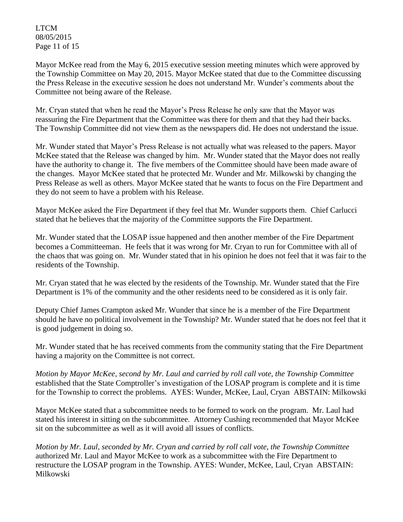LTCM 08/05/2015 Page 11 of 15

Mayor McKee read from the May 6, 2015 executive session meeting minutes which were approved by the Township Committee on May 20, 2015. Mayor McKee stated that due to the Committee discussing the Press Release in the executive session he does not understand Mr. Wunder's comments about the Committee not being aware of the Release.

Mr. Cryan stated that when he read the Mayor's Press Release he only saw that the Mayor was reassuring the Fire Department that the Committee was there for them and that they had their backs. The Township Committee did not view them as the newspapers did. He does not understand the issue.

Mr. Wunder stated that Mayor's Press Release is not actually what was released to the papers. Mayor McKee stated that the Release was changed by him. Mr. Wunder stated that the Mayor does not really have the authority to change it. The five members of the Committee should have been made aware of the changes. Mayor McKee stated that he protected Mr. Wunder and Mr. Milkowski by changing the Press Release as well as others. Mayor McKee stated that he wants to focus on the Fire Department and they do not seem to have a problem with his Release.

Mayor McKee asked the Fire Department if they feel that Mr. Wunder supports them. Chief Carlucci stated that he believes that the majority of the Committee supports the Fire Department.

Mr. Wunder stated that the LOSAP issue happened and then another member of the Fire Department becomes a Committeeman. He feels that it was wrong for Mr. Cryan to run for Committee with all of the chaos that was going on. Mr. Wunder stated that in his opinion he does not feel that it was fair to the residents of the Township.

Mr. Cryan stated that he was elected by the residents of the Township. Mr. Wunder stated that the Fire Department is 1% of the community and the other residents need to be considered as it is only fair.

Deputy Chief James Crampton asked Mr. Wunder that since he is a member of the Fire Department should he have no political involvement in the Township? Mr. Wunder stated that he does not feel that it is good judgement in doing so.

Mr. Wunder stated that he has received comments from the community stating that the Fire Department having a majority on the Committee is not correct.

*Motion by Mayor McKee, second by Mr. Laul and carried by roll call vote, the Township Committee*  established that the State Comptroller's investigation of the LOSAP program is complete and it is time for the Township to correct the problems. AYES: Wunder, McKee, Laul, Cryan ABSTAIN: Milkowski

Mayor McKee stated that a subcommittee needs to be formed to work on the program. Mr. Laul had stated his interest in sitting on the subcommittee. Attorney Cushing recommended that Mayor McKee sit on the subcommittee as well as it will avoid all issues of conflicts.

*Motion by Mr. Laul, seconded by Mr. Cryan and carried by roll call vote*, *the Township Committee* authorized Mr. Laul and Mayor McKee to work as a subcommittee with the Fire Department to restructure the LOSAP program in the Township. AYES: Wunder, McKee, Laul, Cryan ABSTAIN: Milkowski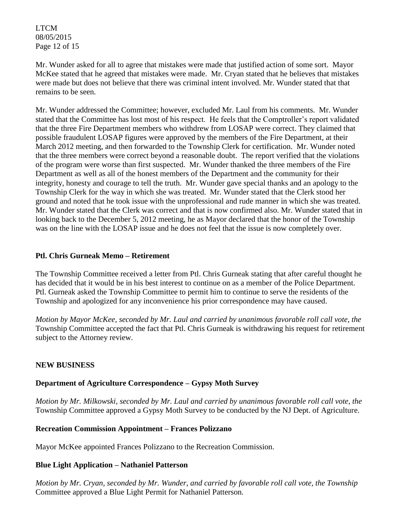LTCM 08/05/2015 Page 12 of 15

Mr. Wunder asked for all to agree that mistakes were made that justified action of some sort. Mayor McKee stated that he agreed that mistakes were made. Mr. Cryan stated that he believes that mistakes were made but does not believe that there was criminal intent involved. Mr. Wunder stated that that remains to be seen.

Mr. Wunder addressed the Committee; however, excluded Mr. Laul from his comments. Mr. Wunder stated that the Committee has lost most of his respect. He feels that the Comptroller's report validated that the three Fire Department members who withdrew from LOSAP were correct. They claimed that possible fraudulent LOSAP figures were approved by the members of the Fire Department, at their March 2012 meeting, and then forwarded to the Township Clerk for certification. Mr. Wunder noted that the three members were correct beyond a reasonable doubt. The report verified that the violations of the program were worse than first suspected. Mr. Wunder thanked the three members of the Fire Department as well as all of the honest members of the Department and the community for their integrity, honesty and courage to tell the truth. Mr. Wunder gave special thanks and an apology to the Township Clerk for the way in which she was treated. Mr. Wunder stated that the Clerk stood her ground and noted that he took issue with the unprofessional and rude manner in which she was treated. Mr. Wunder stated that the Clerk was correct and that is now confirmed also. Mr. Wunder stated that in looking back to the December 5, 2012 meeting, he as Mayor declared that the honor of the Township was on the line with the LOSAP issue and he does not feel that the issue is now completely over.

#### **Ptl. Chris Gurneak Memo – Retirement**

The Township Committee received a letter from Ptl. Chris Gurneak stating that after careful thought he has decided that it would be in his best interest to continue on as a member of the Police Department. Ptl. Gurneak asked the Township Committee to permit him to continue to serve the residents of the Township and apologized for any inconvenience his prior correspondence may have caused.

*Motion by Mayor McKee, seconded by Mr. Laul and carried by unanimous favorable roll call vote, the* Township Committee accepted the fact that Ptl. Chris Gurneak is withdrawing his request for retirement subject to the Attorney review.

## **NEW BUSINESS**

## **Department of Agriculture Correspondence – Gypsy Moth Survey**

*Motion by Mr. Milkowski, seconded by Mr. Laul and carried by unanimous favorable roll call vote, the* Township Committee approved a Gypsy Moth Survey to be conducted by the NJ Dept. of Agriculture.

#### **Recreation Commission Appointment – Frances Polizzano**

Mayor McKee appointed Frances Polizzano to the Recreation Commission.

#### **Blue Light Application – Nathaniel Patterson**

*Motion by Mr. Cryan, seconded by Mr. Wunder, and carried by favorable roll call vote, the Township*  Committee approved a Blue Light Permit for Nathaniel Patterson.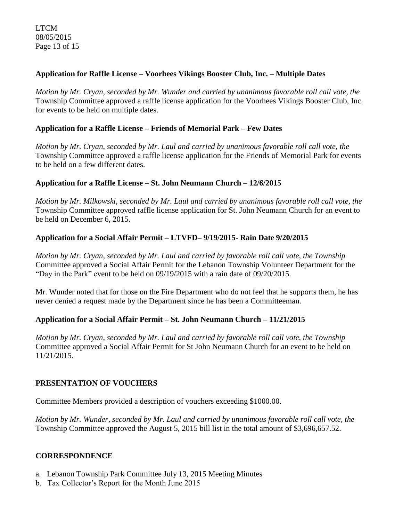## **Application for Raffle License – Voorhees Vikings Booster Club, Inc. – Multiple Dates**

*Motion by Mr. Cryan, seconded by Mr. Wunder and carried by unanimous favorable roll call vote, the* Township Committee approved a raffle license application for the Voorhees Vikings Booster Club, Inc. for events to be held on multiple dates.

### **Application for a Raffle License – Friends of Memorial Park – Few Dates**

*Motion by Mr. Cryan, seconded by Mr. Laul and carried by unanimous favorable roll call vote, the* Township Committee approved a raffle license application for the Friends of Memorial Park for events to be held on a few different dates.

### **Application for a Raffle License – St. John Neumann Church – 12/6/2015**

*Motion by Mr. Milkowski, seconded by Mr. Laul and carried by unanimous favorable roll call vote, the* Township Committee approved raffle license application for St. John Neumann Church for an event to be held on December 6, 2015.

### **Application for a Social Affair Permit – LTVFD– 9/19/2015- Rain Date 9/20/2015**

*Motion by Mr. Cryan, seconded by Mr. Laul and carried by favorable roll call vote*, *the Township*  Committee approved a Social Affair Permit for the Lebanon Township Volunteer Department for the "Day in the Park" event to be held on 09/19/2015 with a rain date of 09/20/2015.

Mr. Wunder noted that for those on the Fire Department who do not feel that he supports them, he has never denied a request made by the Department since he has been a Committeeman.

## **Application for a Social Affair Permit – St. John Neumann Church – 11/21/2015**

*Motion by Mr. Cryan, seconded by Mr. Laul and carried by favorable roll call vote*, *the Township*  Committee approved a Social Affair Permit for St John Neumann Church for an event to be held on 11/21/2015.

## **PRESENTATION OF VOUCHERS**

Committee Members provided a description of vouchers exceeding \$1000.00.

*Motion by Mr. Wunder, seconded by Mr. Laul and carried by unanimous favorable roll call vote, the* Township Committee approved the August 5, 2015 bill list in the total amount of \$3,696,657.52.

#### **CORRESPONDENCE**

- a. Lebanon Township Park Committee July 13, 2015 Meeting Minutes
- b. Tax Collector's Report for the Month June 2015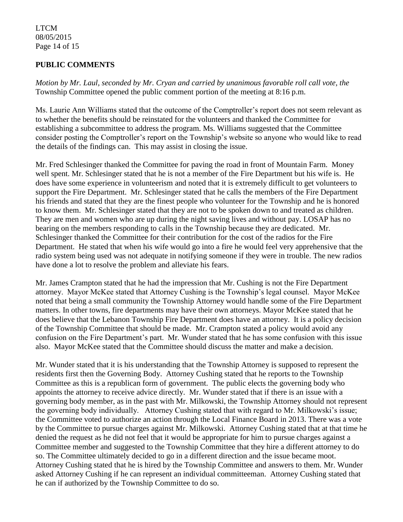### LTCM 08/05/2015 Page 14 of 15

## **PUBLIC COMMENTS**

*Motion by Mr. Laul, seconded by Mr. Cryan and carried by unanimous favorable roll call vote, the* Township Committee opened the public comment portion of the meeting at 8:16 p.m.

Ms. Laurie Ann Williams stated that the outcome of the Comptroller's report does not seem relevant as to whether the benefits should be reinstated for the volunteers and thanked the Committee for establishing a subcommittee to address the program. Ms. Williams suggested that the Committee consider posting the Comptroller's report on the Township's website so anyone who would like to read the details of the findings can. This may assist in closing the issue.

Mr. Fred Schlesinger thanked the Committee for paving the road in front of Mountain Farm. Money well spent. Mr. Schlesinger stated that he is not a member of the Fire Department but his wife is. He does have some experience in volunteerism and noted that it is extremely difficult to get volunteers to support the Fire Department. Mr. Schlesinger stated that he calls the members of the Fire Department his friends and stated that they are the finest people who volunteer for the Township and he is honored to know them. Mr. Schlesinger stated that they are not to be spoken down to and treated as children. They are men and women who are up during the night saving lives and without pay. LOSAP has no bearing on the members responding to calls in the Township because they are dedicated. Mr. Schlesinger thanked the Committee for their contribution for the cost of the radios for the Fire Department. He stated that when his wife would go into a fire he would feel very apprehensive that the radio system being used was not adequate in notifying someone if they were in trouble. The new radios have done a lot to resolve the problem and alleviate his fears.

Mr. James Crampton stated that he had the impression that Mr. Cushing is not the Fire Department attorney. Mayor McKee stated that Attorney Cushing is the Township's legal counsel. Mayor McKee noted that being a small community the Township Attorney would handle some of the Fire Department matters. In other towns, fire departments may have their own attorneys. Mayor McKee stated that he does believe that the Lebanon Township Fire Department does have an attorney. It is a policy decision of the Township Committee that should be made. Mr. Crampton stated a policy would avoid any confusion on the Fire Department's part. Mr. Wunder stated that he has some confusion with this issue also. Mayor McKee stated that the Committee should discuss the matter and make a decision.

Mr. Wunder stated that it is his understanding that the Township Attorney is supposed to represent the residents first then the Governing Body. Attorney Cushing stated that he reports to the Township Committee as this is a republican form of government. The public elects the governing body who appoints the attorney to receive advice directly. Mr. Wunder stated that if there is an issue with a governing body member, as in the past with Mr. Milkowski, the Township Attorney should not represent the governing body individually. Attorney Cushing stated that with regard to Mr. Milkowski's issue; the Committee voted to authorize an action through the Local Finance Board in 2013. There was a vote by the Committee to pursue charges against Mr. Milkowski. Attorney Cushing stated that at that time he denied the request as he did not feel that it would be appropriate for him to pursue charges against a Committee member and suggested to the Township Committee that they hire a different attorney to do so. The Committee ultimately decided to go in a different direction and the issue became moot. Attorney Cushing stated that he is hired by the Township Committee and answers to them. Mr. Wunder asked Attorney Cushing if he can represent an individual committeeman. Attorney Cushing stated that he can if authorized by the Township Committee to do so.